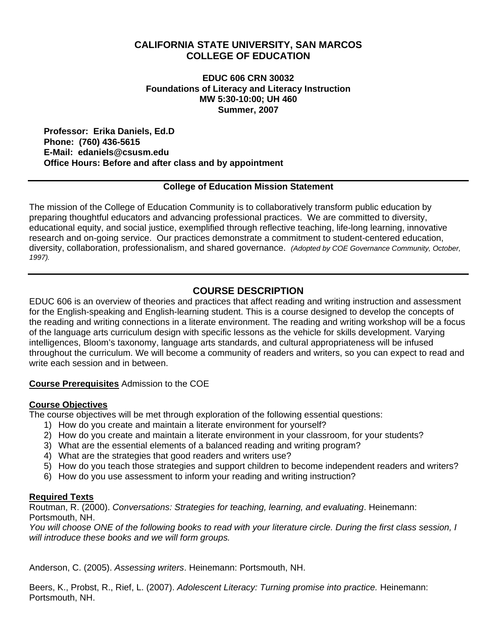# **CALIFORNIA STATE UNIVERSITY, SAN MARCOS COLLEGE OF EDUCATION**

#### **EDUC 606 CRN 30032 Foundations of Literacy and Literacy Instruction MW 5:30-10:00; UH 460 Summer, 2007**

**Professor: Erika Daniels, Ed.D Phone: (760) 436-5615 E-Mail: edaniels@csusm.edu Office Hours: Before and after class and by appointment** 

#### **College of Education Mission Statement**

The mission of the College of Education Community is to collaboratively transform public education by preparing thoughtful educators and advancing professional practices. We are committed to diversity, educational equity, and social justice, exemplified through reflective teaching, life-long learning, innovative research and on-going service. Our practices demonstrate a commitment to student-centered education, diversity, collaboration, professionalism, and shared governance. *(Adopted by COE Governance Community, October, 1997).* 

# **COURSE DESCRIPTION**

EDUC 606 is an overview of theories and practices that affect reading and writing instruction and assessment for the English-speaking and English-learning student. This is a course designed to develop the concepts of the reading and writing connections in a literate environment. The reading and writing workshop will be a focus of the language arts curriculum design with specific lessons as the vehicle for skills development. Varying intelligences, Bloom's taxonomy, language arts standards, and cultural appropriateness will be infused throughout the curriculum. We will become a community of readers and writers, so you can expect to read and write each session and in between.

#### **Course Prerequisites** Admission to the COE

#### **Course Objectives**

The course objectives will be met through exploration of the following essential questions:

- 1) How do you create and maintain a literate environment for yourself?
- 2) How do you create and maintain a literate environment in your classroom, for your students?
- 3) What are the essential elements of a balanced reading and writing program?
- 4) What are the strategies that good readers and writers use?
- 5) How do you teach those strategies and support children to become independent readers and writers?
- 6) How do you use assessment to inform your reading and writing instruction?

#### **Required Texts**

Routman, R. (2000). *Conversations: Strategies for teaching, learning, and evaluating*. Heinemann: Portsmouth, NH.

*You will choose ONE of the following books to read with your literature circle. During the first class session, I will introduce these books and we will form groups.* 

Anderson, C. (2005). *Assessing writers*. Heinemann: Portsmouth, NH.

Beers, K., Probst, R., Rief, L. (2007). *Adolescent Literacy: Turning promise into practice.* Heinemann: Portsmouth, NH.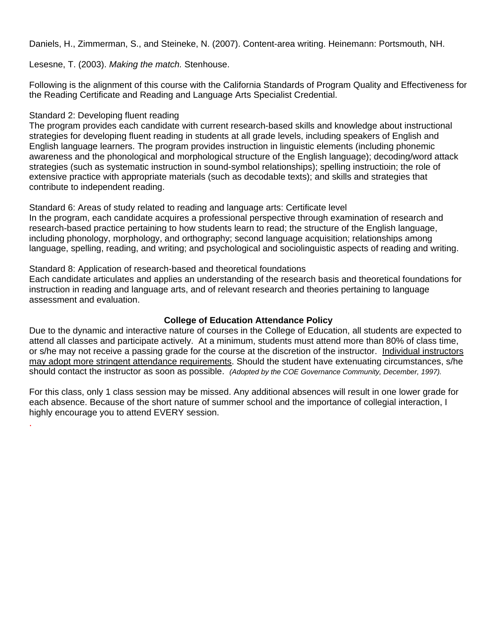Daniels, H., Zimmerman, S., and Steineke, N. (2007). Content-area writing. Heinemann: Portsmouth, NH.

Lesesne, T. (2003). *Making the match.* Stenhouse.

Following is the alignment of this course with the California Standards of Program Quality and Effectiveness for the Reading Certificate and Reading and Language Arts Specialist Credential.

#### Standard 2: Developing fluent reading

.

The program provides each candidate with current research-based skills and knowledge about instructional strategies for developing fluent reading in students at all grade levels, including speakers of English and English language learners. The program provides instruction in linguistic elements (including phonemic awareness and the phonological and morphological structure of the English language); decoding/word attack strategies (such as systematic instruction in sound-symbol relationships); spelling instructioin; the role of extensive practice with appropriate materials (such as decodable texts); and skills and strategies that contribute to independent reading.

#### Standard 6: Areas of study related to reading and language arts: Certificate level

In the program, each candidate acquires a professional perspective through examination of research and research-based practice pertaining to how students learn to read; the structure of the English language, including phonology, morphology, and orthography; second language acquisition; relationships among language, spelling, reading, and writing; and psychological and sociolinguistic aspects of reading and writing.

#### Standard 8: Application of research-based and theoretical foundations

Each candidate articulates and applies an understanding of the research basis and theoretical foundations for instruction in reading and language arts, and of relevant research and theories pertaining to language assessment and evaluation.

#### **College of Education Attendance Policy**

Due to the dynamic and interactive nature of courses in the College of Education, all students are expected to attend all classes and participate actively. At a minimum, students must attend more than 80% of class time, or s/he may not receive a passing grade for the course at the discretion of the instructor. Individual instructors may adopt more stringent attendance requirements. Should the student have extenuating circumstances, s/he should contact the instructor as soon as possible. *(Adopted by the COE Governance Community, December, 1997).*

For this class, only 1 class session may be missed. Any additional absences will result in one lower grade for each absence. Because of the short nature of summer school and the importance of collegial interaction, I highly encourage you to attend EVERY session.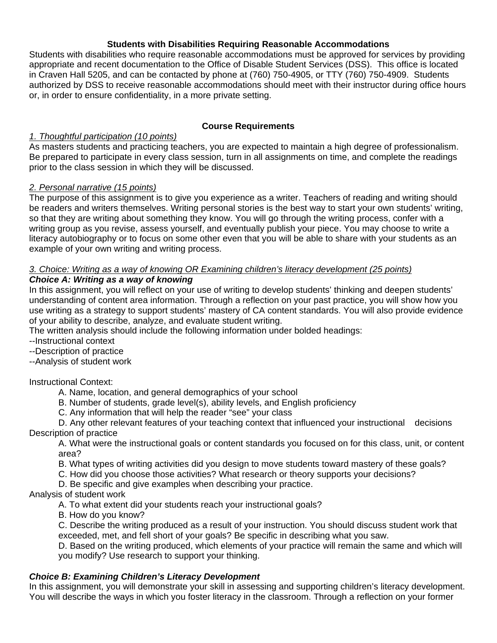### **Students with Disabilities Requiring Reasonable Accommodations**

Students with disabilities who require reasonable accommodations must be approved for services by providing appropriate and recent documentation to the Office of Disable Student Services (DSS). This office is located in Craven Hall 5205, and can be contacted by phone at (760) 750-4905, or TTY (760) 750-4909. Students authorized by DSS to receive reasonable accommodations should meet with their instructor during office hours or, in order to ensure confidentiality, in a more private setting.

## **Course Requirements**

## *1. Thoughtful participation (10 points)*

As masters students and practicing teachers, you are expected to maintain a high degree of professionalism. Be prepared to participate in every class session, turn in all assignments on time, and complete the readings prior to the class session in which they will be discussed.

## *2. Personal narrative (15 points)*

The purpose of this assignment is to give you experience as a writer. Teachers of reading and writing should be readers and writers themselves. Writing personal stories is the best way to start your own students' writing, so that they are writing about something they know. You will go through the writing process, confer with a writing group as you revise, assess yourself, and eventually publish your piece. You may choose to write a literacy autobiography or to focus on some other even that you will be able to share with your students as an example of your own writing and writing process.

# *3. Choice: Writing as a way of knowing OR Examining children's literacy development (25 points)*

## *Choice A: Writing as a way of knowing*

In this assignment, you will reflect on your use of writing to develop students' thinking and deepen students' understanding of content area information. Through a reflection on your past practice, you will show how you use writing as a strategy to support students' mastery of CA content standards. You will also provide evidence of your ability to describe, analyze, and evaluate student writing.

The written analysis should include the following information under bolded headings:

--Instructional context

--Description of practice

--Analysis of student work

Instructional Context:

A. Name, location, and general demographics of your school

B. Number of students, grade level(s), ability levels, and English proficiency

C. Any information that will help the reader "see" your class

D. Any other relevant features of your teaching context that influenced your instructional decisions Description of practice

A. What were the instructional goals or content standards you focused on for this class, unit, or content area?

B. What types of writing activities did you design to move students toward mastery of these goals?

C. How did you choose those activities? What research or theory supports your decisions?

D. Be specific and give examples when describing your practice.

#### Analysis of student work

A. To what extent did your students reach your instructional goals?

B. How do you know?

C. Describe the writing produced as a result of your instruction. You should discuss student work that exceeded, met, and fell short of your goals? Be specific in describing what you saw.

D. Based on the writing produced, which elements of your practice will remain the same and which will you modify? Use research to support your thinking.

#### *Choice B: Examining Children's Literacy Development*

In this assignment, you will demonstrate your skill in assessing and supporting children's literacy development. You will describe the ways in which you foster literacy in the classroom. Through a reflection on your former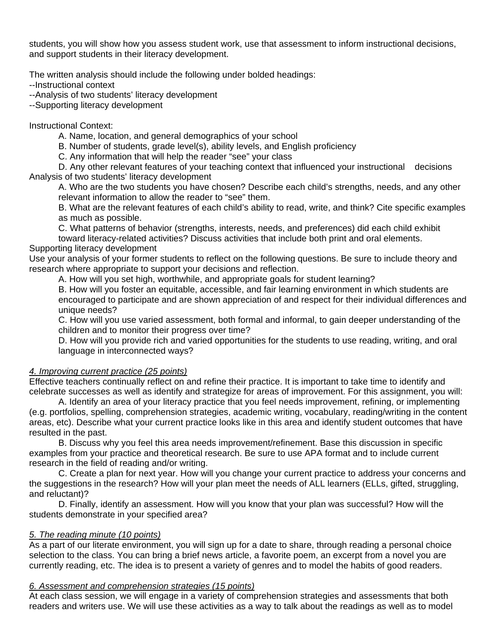students, you will show how you assess student work, use that assessment to inform instructional decisions, and support students in their literacy development.

The written analysis should include the following under bolded headings:

--Instructional context

--Analysis of two students' literacy development

--Supporting literacy development

Instructional Context:

A. Name, location, and general demographics of your school

B. Number of students, grade level(s), ability levels, and English proficiency

C. Any information that will help the reader "see" your class

D. Any other relevant features of your teaching context that influenced your instructional decisions Analysis of two students' literacy development

A. Who are the two students you have chosen? Describe each child's strengths, needs, and any other relevant information to allow the reader to "see" them.

B. What are the relevant features of each child's ability to read, write, and think? Cite specific examples as much as possible.

C. What patterns of behavior (strengths, interests, needs, and preferences) did each child exhibit toward literacy-related activities? Discuss activities that include both print and oral elements.

# Supporting literacy development

Use your analysis of your former students to reflect on the following questions. Be sure to include theory and research where appropriate to support your decisions and reflection.

A. How will you set high, worthwhile, and appropriate goals for student learning?

B. How will you foster an equitable, accessible, and fair learning environment in which students are encouraged to participate and are shown appreciation of and respect for their individual differences and unique needs?

C. How will you use varied assessment, both formal and informal, to gain deeper understanding of the children and to monitor their progress over time?

D. How will you provide rich and varied opportunities for the students to use reading, writing, and oral language in interconnected ways?

### *4. Improving current practice (25 points)*

Effective teachers continually reflect on and refine their practice. It is important to take time to identify and celebrate successes as well as identify and strategize for areas of improvement. For this assignment, you will:

A. Identify an area of your literacy practice that you feel needs improvement, refining, or implementing (e.g. portfolios, spelling, comprehension strategies, academic writing, vocabulary, reading/writing in the content areas, etc). Describe what your current practice looks like in this area and identify student outcomes that have resulted in the past.

B. Discuss why you feel this area needs improvement/refinement. Base this discussion in specific examples from your practice and theoretical research. Be sure to use APA format and to include current research in the field of reading and/or writing.

C. Create a plan for next year. How will you change your current practice to address your concerns and the suggestions in the research? How will your plan meet the needs of ALL learners (ELLs, gifted, struggling, and reluctant)?

D. Finally, identify an assessment. How will you know that your plan was successful? How will the students demonstrate in your specified area?

#### *5. The reading minute (10 points)*

As a part of our literate environment, you will sign up for a date to share, through reading a personal choice selection to the class. You can bring a brief news article, a favorite poem, an excerpt from a novel you are currently reading, etc. The idea is to present a variety of genres and to model the habits of good readers.

#### *6. Assessment and comprehension strategies (15 points)*

At each class session, we will engage in a variety of comprehension strategies and assessments that both readers and writers use. We will use these activities as a way to talk about the readings as well as to model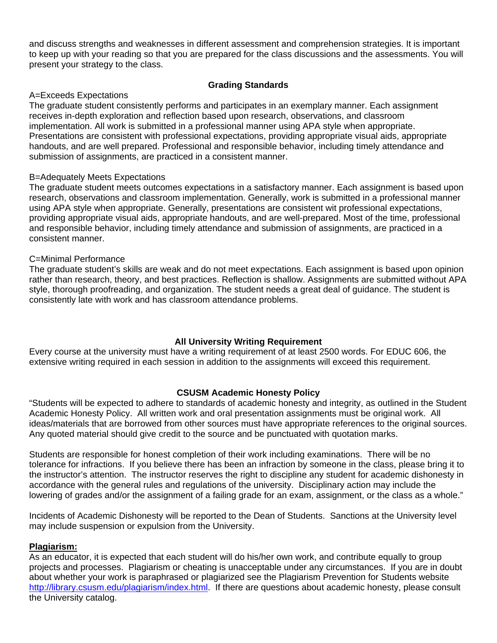and discuss strengths and weaknesses in different assessment and comprehension strategies. It is important to keep up with your reading so that you are prepared for the class discussions and the assessments. You will present your strategy to the class.

### **Grading Standards**

### A=Exceeds Expectations

The graduate student consistently performs and participates in an exemplary manner. Each assignment receives in-depth exploration and reflection based upon research, observations, and classroom implementation. All work is submitted in a professional manner using APA style when appropriate. Presentations are consistent with professional expectations, providing appropriate visual aids, appropriate handouts, and are well prepared. Professional and responsible behavior, including timely attendance and submission of assignments, are practiced in a consistent manner.

#### B=Adequately Meets Expectations

The graduate student meets outcomes expectations in a satisfactory manner. Each assignment is based upon research, observations and classroom implementation. Generally, work is submitted in a professional manner using APA style when appropriate. Generally, presentations are consistent wit professional expectations, providing appropriate visual aids, appropriate handouts, and are well-prepared. Most of the time, professional and responsible behavior, including timely attendance and submission of assignments, are practiced in a consistent manner.

#### C=Minimal Performance

The graduate student's skills are weak and do not meet expectations. Each assignment is based upon opinion rather than research, theory, and best practices. Reflection is shallow. Assignments are submitted without APA style, thorough proofreading, and organization. The student needs a great deal of guidance. The student is consistently late with work and has classroom attendance problems.

# **All University Writing Requirement**

Every course at the university must have a writing requirement of at least 2500 words. For EDUC 606, the extensive writing required in each session in addition to the assignments will exceed this requirement.

#### **CSUSM Academic Honesty Policy**

"Students will be expected to adhere to standards of academic honesty and integrity, as outlined in the Student Academic Honesty Policy. All written work and oral presentation assignments must be original work. All ideas/materials that are borrowed from other sources must have appropriate references to the original sources. Any quoted material should give credit to the source and be punctuated with quotation marks.

Students are responsible for honest completion of their work including examinations. There will be no tolerance for infractions. If you believe there has been an infraction by someone in the class, please bring it to the instructor's attention. The instructor reserves the right to discipline any student for academic dishonesty in accordance with the general rules and regulations of the university. Disciplinary action may include the lowering of grades and/or the assignment of a failing grade for an exam, assignment, or the class as a whole."

Incidents of Academic Dishonesty will be reported to the Dean of Students. Sanctions at the University level may include suspension or expulsion from the University.

#### **Plagiarism:**

As an educator, it is expected that each student will do his/her own work, and contribute equally to group projects and processes. Plagiarism or cheating is unacceptable under any circumstances. If you are in doubt about whether your work is paraphrased or plagiarized see the Plagiarism Prevention for Students website http://library.csusm.edu/plagiarism/index.html. If there are questions about academic honesty, please consult the University catalog.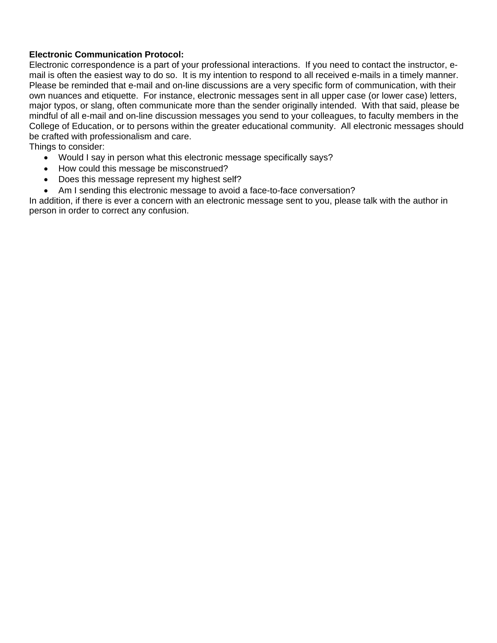### **Electronic Communication Protocol:**

Electronic correspondence is a part of your professional interactions. If you need to contact the instructor, email is often the easiest way to do so. It is my intention to respond to all received e-mails in a timely manner. Please be reminded that e-mail and on-line discussions are a very specific form of communication, with their own nuances and etiquette. For instance, electronic messages sent in all upper case (or lower case) letters, major typos, or slang, often communicate more than the sender originally intended. With that said, please be mindful of all e-mail and on-line discussion messages you send to your colleagues, to faculty members in the College of Education, or to persons within the greater educational community. All electronic messages should be crafted with professionalism and care.

Things to consider:

- Would I say in person what this electronic message specifically says?
- How could this message be misconstrued?
- Does this message represent my highest self?
- Am I sending this electronic message to avoid a face-to-face conversation?

In addition, if there is ever a concern with an electronic message sent to you, please talk with the author in person in order to correct any confusion.